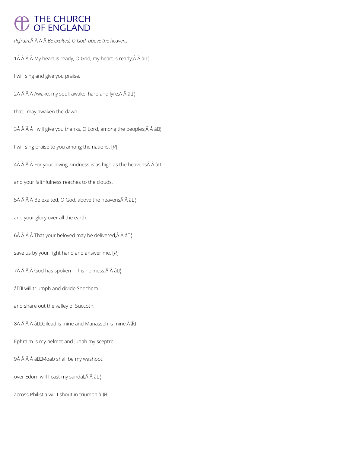# THE CHURCH<br>OF ENGLAND

*Refrain: Be exalted, O God, above the heavens.*

1 $\hat{A}$   $\hat{A}$   $\hat{A}$   $\hat{A}$  My heart is ready; $\hat{A}$   $\hat{A}$  all

I will sing and give you praise.

 $2\hat{A}$   $\hat{A}$   $\hat{A}$  Awake, my soul; awake, harp and lyre, $\hat{A}$   $\hat{A}$   $\hat{a}$   $\Pi$ <sup>1</sup>

that I may awaken the dawn.

 $3\hat{A}$   $\hat{A}$   $\hat{A}$   $\hat{A}$  I will give you thanks, O Lord, among the peoples; $\hat{A}$   $\hat{A}$   $\hat{a}$   $\Box$ 

I will sing praise to you among the nations. [*R*]

 $4\hat{A}$   $\hat{A}$   $\hat{A}$   $\hat{A}$  For your loving-kindness is as high as the heavens $\hat{A}$   $\hat{A}$   $\hat{B}$  $\Gamma$ 

and your faithfulness reaches to the clouds.

 $5\hat{A}$   $\hat{A}$   $\hat{A}$   $\hat{B}$  Be exalted, O God, above the heavens $\hat{A}$   $\hat{A}$   $\hat{B}$  $I$ <sub>1</sub>

and your glory over all the earth.

 $6\hat{A}$   $\hat{A}$   $\hat{A}$   $\hat{A}$  That your beloved may be delivered, $\hat{A}$   $\hat{A}$   $\hat{a}$   $\Box$ 

save us by your right hand and answer me. [*R*]

7Â Â Â Â God has spoken in his holiness:Â Â â []

â<sup>II</sup> will triumph and divide Shechem

and share out the valley of Succoth.

8Â Â Â Â â DIGilead is mine and Manasseh is mine; Â  $\hat{a}$ u¦

Ephraim is my helmet and Judah my sceptre.

9Â Â Â Â â DOMoab shall be my washpot,

over Edom will I cast my sandal, Â Â â []

across Philistia will I shout in triumph.â [*R*]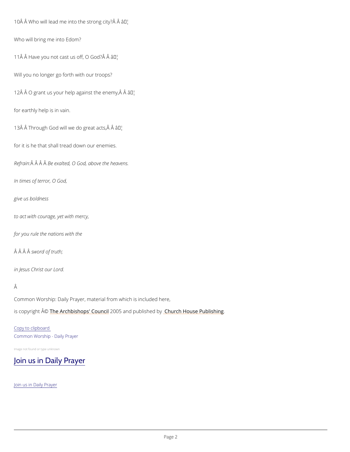10Å Å Who will lead me into thâe™ strong city? Â

Who will bring me into Edom?

11 Â Â Have you not cast usâ U<sup>w</sup>fif, O God? Â Â

Will you no longer go forth with our troops?

12  $\hat{A}$   $\hat{A}$   $O$  grant us your help again<sup>t w</sup>e the enemy,  $\hat{A}$   $\hat{A}$ 

for earthly help is in vain.

 $13 \text{\AA}$   $\hat{A}$  Through God will we do  $T^M$ great acts,  $\hat{A}$   $\hat{A}$ 

Common Worship: Daily Prayer, material from which is included here, is copyrighth  $\hat{\mathbb{A}}$  @Archbishops' 2000 u5 n and publish hend roby House Publishing

for it is he that shall tread down our enemies.

Refra $\hat{A}$ in $\hat{A}$ :  $\hat{A}B$  $\hat{B}$  exalted, O God, above the heavens.

In times of terror, O God,

give us boldness

to act with courage, yet with mercy,

for you rule the nations with the

 $\hat{A}$   $\hat{A}$   $\hat{B}$  w $\hat{A}$  or d of truth;

in Jesus Christ our Lord.

#### Â

#### Copy to clipboard

Common Worship - Daily Prayer

Image not found or type unknown

### [Join us in Daily Prayer](/prayer-and-worship/join-us-in-daily-prayer)

Join us in Daily Prayer